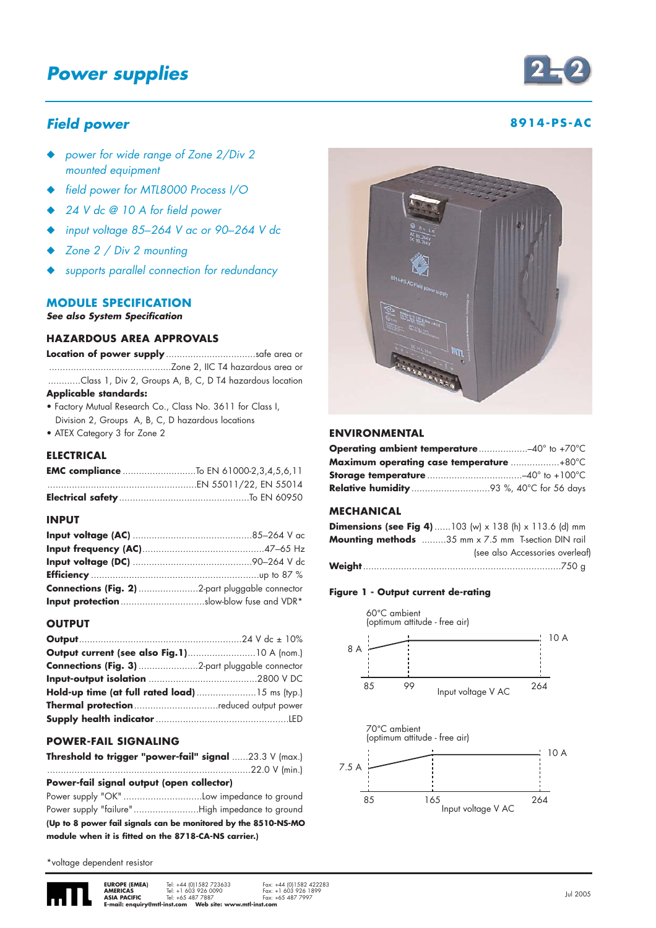## **Power supplies**

### **Field power 8914-PS-AC**

- ◆ power for wide range of Zone 2/Div 2 mounted equipment
- ◆ field power for MTL8000 Process I/O
- 24 V dc @ 10 A for field power
- ◆ input voltage 85*–*264 V ac or 90*–*264 V dc
- Zone 2 / Div 2 mounting
- supports parallel connection for redundancy

#### **MODULE SPECIFICATION**

**See also System Specification**

#### **HAZARDOUS AREA APPROVALS**

**Location of power supply** .................................safe area or .............................................Zone 2, IIC T4 hazardous area or ............Class 1, Div 2, Groups A, B, C, D T4 hazardous location

#### **Applicable standards:**

- Factory Mutual Research Co., Class No. 3611 for Class I, Division 2, Groups A, B, C, D hazardous locations
- ATEX Category 3 for Zone 2

#### **ELECTRICAL**

| <b>EMC compliance</b> To EN 61000-2,3,4,5,6,11 |
|------------------------------------------------|
|                                                |
|                                                |

#### **INPUT**

| <b>Input protection</b> slow-blow fuse and VDR* |
|-------------------------------------------------|

#### **OUTPUT**

| Hold-up time (at full rated load)  15 ms (typ.) |  |
|-------------------------------------------------|--|
| <b>Thermal protection</b> reduced output power  |  |
|                                                 |  |

#### **POWER-FAIL SIGNALING**

| Threshold to trigger "power-fail" signal 23.3 V (max.) |  |  |  |  |  |
|--------------------------------------------------------|--|--|--|--|--|
|                                                        |  |  |  |  |  |

**Power-fail signal output (open collector)**

| (Up to 8 power fail signals can be monitored by the 8510-NS-MO |  |
|----------------------------------------------------------------|--|
| module when it is fitted on the 8718-CA-NS carrier.)           |  |

\*voltage dependent resistor





#### **ENVIRONMENTAL**

| <b>Operating ambient temperature</b> 40° to +70°C |  |
|---------------------------------------------------|--|
| <b>Maximum operating case temperature +80°C</b>   |  |
|                                                   |  |
|                                                   |  |

#### **MECHANICAL**

| <b>Dimensions (see Fig 4)</b> 103 (w) x 138 (h) x 113.6 (d) mm |
|----------------------------------------------------------------|
| <b>Mounting methods</b> 35 mm x 7.5 mm T-section DIN rail      |
| (see also Accessories overleaf)                                |
|                                                                |

#### **Figure 1 - Output current de-rating**